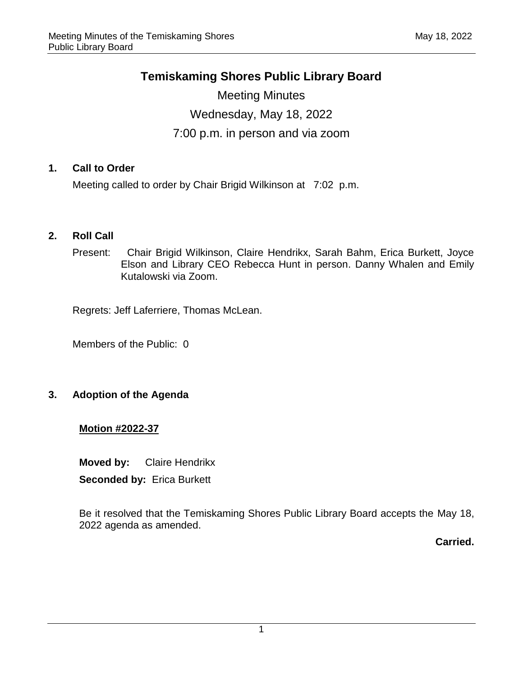# **Temiskaming Shores Public Library Board**

Meeting Minutes Wednesday, May 18, 2022 7:00 p.m. in person and via zoom

## **1. Call to Order**

Meeting called to order by Chair Brigid Wilkinson at 7:02 p.m.

## **2. Roll Call**

Present: Chair Brigid Wilkinson, Claire Hendrikx, Sarah Bahm, Erica Burkett, Joyce Elson and Library CEO Rebecca Hunt in person. Danny Whalen and Emily Kutalowski via Zoom.

Regrets: Jeff Laferriere, Thomas McLean.

Members of the Public: 0

## **3. Adoption of the Agenda**

#### **Motion #2022-37**

**Moved by:** Claire Hendrikx **Seconded by:** Erica Burkett

Be it resolved that the Temiskaming Shores Public Library Board accepts the May 18, 2022 agenda as amended.

**Carried.**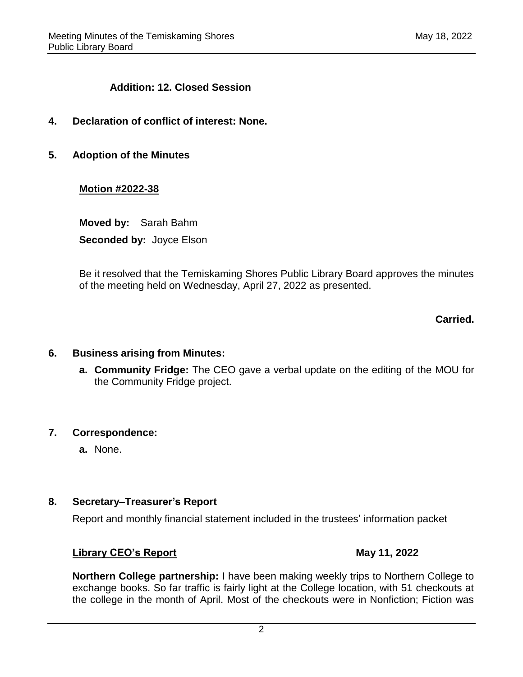#### **Addition: 12. Closed Session**

- **4. Declaration of conflict of interest: None.**
- **5. Adoption of the Minutes**

#### **Motion #2022-38**

**Moved by:** Sarah Bahm **Seconded by:** Joyce Elson

Be it resolved that the Temiskaming Shores Public Library Board approves the minutes of the meeting held on Wednesday, April 27, 2022 as presented.

#### **Carried.**

#### **6. Business arising from Minutes:**

**a. Community Fridge:** The CEO gave a verbal update on the editing of the MOU for the Community Fridge project.

#### **7. Correspondence:**

**a.** None.

#### **8. Secretary–Treasurer's Report**

Report and monthly financial statement included in the trustees' information packet

#### **Library CEO's Report May 11, 2022**

**Northern College partnership:** I have been making weekly trips to Northern College to exchange books. So far traffic is fairly light at the College location, with 51 checkouts at the college in the month of April. Most of the checkouts were in Nonfiction; Fiction was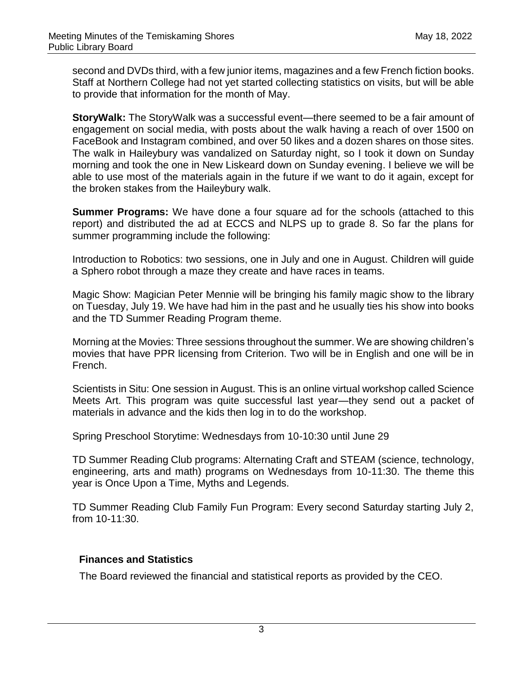second and DVDs third, with a few junior items, magazines and a few French fiction books. Staff at Northern College had not yet started collecting statistics on visits, but will be able to provide that information for the month of May.

**StoryWalk:** The StoryWalk was a successful event—there seemed to be a fair amount of engagement on social media, with posts about the walk having a reach of over 1500 on FaceBook and Instagram combined, and over 50 likes and a dozen shares on those sites. The walk in Haileybury was vandalized on Saturday night, so I took it down on Sunday morning and took the one in New Liskeard down on Sunday evening. I believe we will be able to use most of the materials again in the future if we want to do it again, except for the broken stakes from the Haileybury walk.

**Summer Programs:** We have done a four square ad for the schools (attached to this report) and distributed the ad at ECCS and NLPS up to grade 8. So far the plans for summer programming include the following:

Introduction to Robotics: two sessions, one in July and one in August. Children will guide a Sphero robot through a maze they create and have races in teams.

Magic Show: Magician Peter Mennie will be bringing his family magic show to the library on Tuesday, July 19. We have had him in the past and he usually ties his show into books and the TD Summer Reading Program theme.

Morning at the Movies: Three sessions throughout the summer. We are showing children's movies that have PPR licensing from Criterion. Two will be in English and one will be in French.

Scientists in Situ: One session in August. This is an online virtual workshop called Science Meets Art. This program was quite successful last year—they send out a packet of materials in advance and the kids then log in to do the workshop.

Spring Preschool Storytime: Wednesdays from 10-10:30 until June 29

TD Summer Reading Club programs: Alternating Craft and STEAM (science, technology, engineering, arts and math) programs on Wednesdays from 10-11:30. The theme this year is Once Upon a Time, Myths and Legends.

TD Summer Reading Club Family Fun Program: Every second Saturday starting July 2, from 10-11:30.

## **Finances and Statistics**

The Board reviewed the financial and statistical reports as provided by the CEO.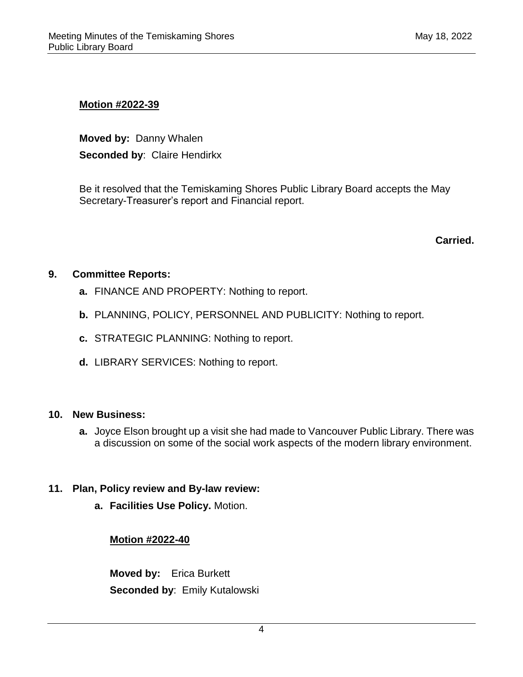#### **Motion #2022-39**

**Moved by:** Danny Whalen **Seconded by**: Claire Hendirkx

Be it resolved that the Temiskaming Shores Public Library Board accepts the May Secretary-Treasurer's report and Financial report.

**Carried.**

## **9. Committee Reports:**

- **a.** FINANCE AND PROPERTY: Nothing to report.
- **b.** PLANNING, POLICY, PERSONNEL AND PUBLICITY: Nothing to report.
- **c.** STRATEGIC PLANNING: Nothing to report.
- **d.** LIBRARY SERVICES: Nothing to report.

#### **10. New Business:**

**a.** Joyce Elson brought up a visit she had made to Vancouver Public Library. There was a discussion on some of the social work aspects of the modern library environment.

#### **11. Plan, Policy review and By-law review:**

**a. Facilities Use Policy.** Motion.

## **Motion #2022-40**

**Moved by:** Erica Burkett **Seconded by**: Emily Kutalowski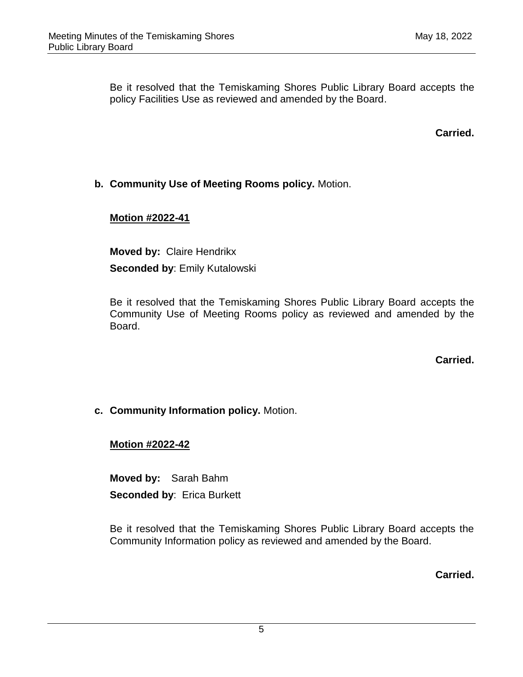Be it resolved that the Temiskaming Shores Public Library Board accepts the policy Facilities Use as reviewed and amended by the Board.

**Carried.**

## **b. Community Use of Meeting Rooms policy.** Motion.

## **Motion #2022-41**

**Moved by:** Claire Hendrikx **Seconded by**: Emily Kutalowski

Be it resolved that the Temiskaming Shores Public Library Board accepts the Community Use of Meeting Rooms policy as reviewed and amended by the Board.

**Carried.**

## **c. Community Information policy.** Motion.

#### **Motion #2022-42**

**Moved by:** Sarah Bahm **Seconded by**: Erica Burkett

Be it resolved that the Temiskaming Shores Public Library Board accepts the Community Information policy as reviewed and amended by the Board.

**Carried.**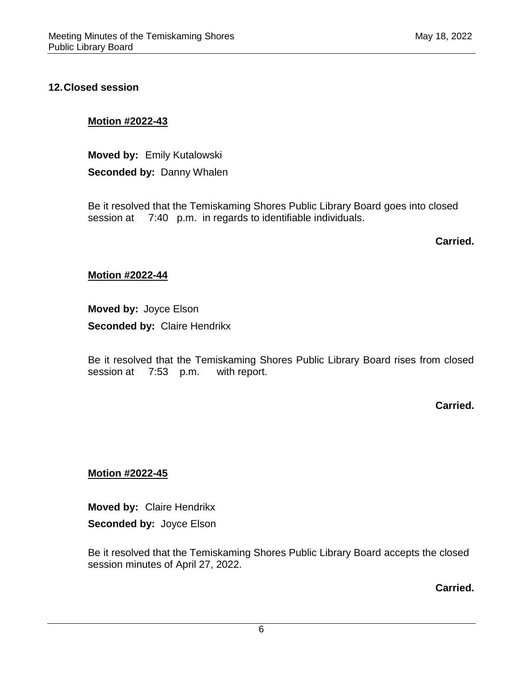#### **12.Closed session**

#### **Motion #2022-43**

**Moved by:** Emily Kutalowski **Seconded by:** Danny Whalen

Be it resolved that the Temiskaming Shores Public Library Board goes into closed session at 7:40 p.m. in regards to identifiable individuals.

**Carried.**

#### **Motion #2022-44**

**Moved by:** Joyce Elson **Seconded by:** Claire Hendrikx

Be it resolved that the Temiskaming Shores Public Library Board rises from closed session at 7:53 p.m. with report.

**Carried.**

#### **Motion #2022-45**

**Moved by:** Claire Hendrikx **Seconded by:** Joyce Elson

Be it resolved that the Temiskaming Shores Public Library Board accepts the closed session minutes of April 27, 2022.

**Carried.**